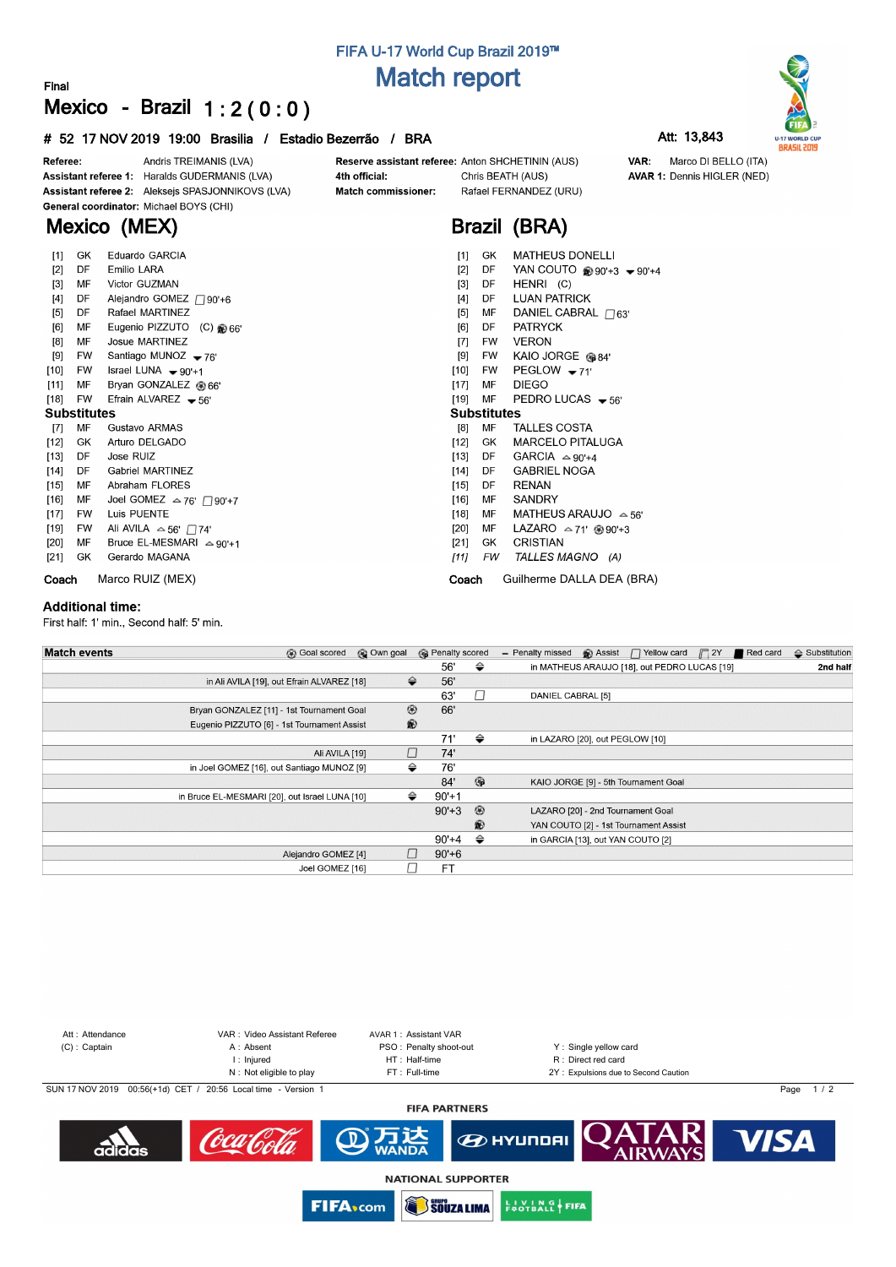# **FIFA U-17 World Cup Brazil 2019™ Match report**

### **Final Mexico - Brazil 1 : 2 ( 0 : 0 )**

### **# 52 17 NOV 2019 19:00 Brasilia / Estadio Bezerrão / BRA Att: 13,843**



**AVAR 1: Dennis HIGLER (NED)** 

Marco DI BELLO (ITA)

VAR:



Andris TREIMANIS (LVA) Referee: Assistant referee 1: Haralds GUDERMANIS (LVA) Assistant referee 2: Aleksejs SPASJONNIKOVS (LVA) General coordinator: Michael BOYS (CHI)

**Mexico (MEX)**

### 4th official: Match commissioner:

Reserve assistant referee: Anton SHCHETININ (AUS) Chris BEATH (AUS) Rafael FERNANDEZ (URU)



| $[1]$              | GK.       | Eduardo GARCIA                        | <b>MATHEUS DONELLI</b><br>$[1]$<br>GK                        |
|--------------------|-----------|---------------------------------------|--------------------------------------------------------------|
| $[2]$              | DF        | Emilio LARA                           | YAN COUTO $\circledast$ 90'+3 $\bullet$ 90'+4<br>$[2]$<br>DF |
| $[3]$              | MF        | Victor GUZMAN                         | HENRI (C)<br>[3]<br>DF                                       |
| $[4]$              | DF        | Alejandro GOMEZ / 90'+6               | <b>LUAN PATRICK</b><br>$[4]$<br>DF                           |
| $[5]$              | DF.       | Rafael MARTINEZ                       | DANIEL CABRAL $\bigcap_{63'}$<br>$[5]$<br>MF                 |
| [6]                | МF        | Eugenio PIZZUTO (C) @ 66'             | <b>PATRYCK</b><br>[6]<br>DF.                                 |
| [8]                | MF        | Josue MARTINEZ                        | <b>VERON</b><br>$[7]$<br>FW                                  |
| [9]                | FW        | Santiago MUNOZ $-76'$                 | KAIO JORGE @84'<br>[9]<br>FW                                 |
| $[10]$             | FW        | Israel LUNA $\rightarrow$ 90'+1       | PEGLOW $-71'$<br>$[10]$<br>FW                                |
| [11]               | MF        | Bryan GONZALEZ @ 66'                  | <b>DIEGO</b><br>MF<br>[17]                                   |
| [18]               | FW        | Efrain ALVAREZ $-56'$                 | [19]<br>MF<br>PEDRO LUCAS $-56'$                             |
| <b>Substitutes</b> |           |                                       | <b>Substitutes</b>                                           |
| $[7]$              | MF        | Gustavo ARMAS                         | MF<br><b>TALLES COSTA</b><br>[8]                             |
| $[12]$             | GK.       | Arturo DELGADO                        | <b>MARCELO PITALUGA</b><br>$[12]$<br>GK                      |
| $[13]$             | DF.       | Jose RUIZ                             | GARCIA $\approx$ 90'+4<br>$[13]$<br>DF                       |
| $[14]$             | DF        | <b>Gabriel MARTINEZ</b>               | <b>GABRIEL NOGA</b><br>$[14]$<br>DF                          |
| $[15]$             | MF        | Abraham FLORES                        | RENAN<br>$[15]$<br>DF                                        |
| [16]               | MF        | Joel GOMEZ $\approx$ 76' $\Box$ 90'+7 | SANDRY<br>$[16]$<br>МF                                       |
| $[17]$             | <b>FW</b> | Luis PUENTE                           | MATHEUS ARAUJO $\approx$ 56'<br>$[18]$<br>MF                 |
| [19]               | FW        | Ali AVILA $\approx$ 56' $\Box$ 74'    | LAZARO $\approx$ 71' $\circledast$ 90'+3<br>[20]<br>MF       |
| [20]               | МF        | Bruce EL-MESMARI $\triangle$ 90'+1    | CRISTIAN<br>[21]<br>GK.                                      |
| $[21]$             | GK.       | Gerardo MAGANA                        | TALLES MAGNO (A)<br>[11]<br>FW                               |
| Coach              |           | Marco RUIZ (MEX)                      | Guilherme DALLA DEA (BRA)<br>Coach                           |

#### **Additional time:**

First half: 1' min., Second half: 5' min.

| <b>Match events</b><br><b>B</b> Goal scored    | © Own goal    | <b>B</b> Penalty scored |                | $\Box$ 2Y<br>Red card<br><sup>2</sup> Assist<br>$\Box$ Yellow card<br>- Penalty missed | $\Leftrightarrow$ Substitution |
|------------------------------------------------|---------------|-------------------------|----------------|----------------------------------------------------------------------------------------|--------------------------------|
|                                                |               | 56'                     | ⇔              | in MATHEUS ARAUJO [18], out PEDRO LUCAS [19]                                           | 2nd half                       |
| in Ali AVILA [19], out Efrain ALVAREZ [18]     | $\Rightarrow$ | 56'                     |                |                                                                                        |                                |
|                                                |               | 63'                     | □              | DANIEL CABRAL [5]                                                                      |                                |
| Bryan GONZALEZ [11] - 1st Tournament Goal      | ◉             | 66'                     |                |                                                                                        |                                |
| Eugenio PIZZUTO [6] - 1st Tournament Assist    | $\circledR$   |                         |                |                                                                                        |                                |
|                                                |               | 71'                     | ⇔              | in LAZARO [20], out PEGLOW [10]                                                        |                                |
| Ali AVILA [19]                                 | П             | 74'                     |                |                                                                                        |                                |
| in Joel GOMEZ [16], out Santiago MUNOZ [9]     | ⇔             | 76'                     |                |                                                                                        |                                |
|                                                |               | 84'                     | $\circledcirc$ | KAIO JORGE [9] - 5th Tournament Goal                                                   |                                |
| in Bruce EL-MESMARI [20], out Israel LUNA [10] | ⇔             | $90'+1$                 |                |                                                                                        |                                |
|                                                |               | $90'+3$                 | $^{\circ}$     | LAZARO [20] - 2nd Tournament Goal                                                      |                                |
|                                                |               |                         | $\circledast$  | YAN COUTO [2] - 1st Tournament Assist                                                  |                                |
|                                                |               | 90'+4                   | ⇔              | in GARCIA [13], out YAN COUTO [2]                                                      |                                |
| Alejandro GOMEZ [4]                            |               | $90' + 6$               |                |                                                                                        |                                |
| Joel GOMEZ [16]                                |               | FT                      |                |                                                                                        |                                |